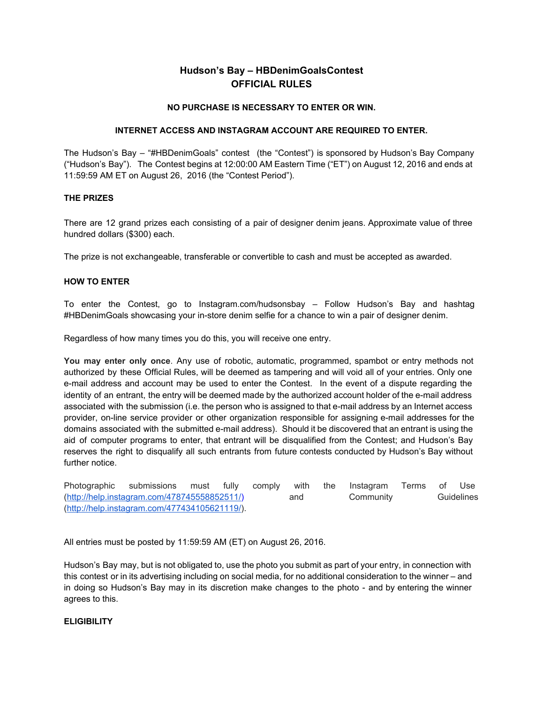# **Hudson's Bay – HBDenimGoalsContest OFFICIAL RULES**

### **NO PURCHASE IS NECESSARY TO ENTER OR WIN.**

#### **INTERNET ACCESS AND INSTAGRAM ACCOUNT ARE REQUIRED TO ENTER.**

The Hudson's Bay – "#HBDenimGoals" contest (the "Contest") is sponsored by Hudson's Bay Company ("Hudson's Bay"). The Contest begins at 12:00:00 AM Eastern Time ("ET") on August 12, 2016 and ends at 11:59:59 AM ET on August 26, 2016 (the "Contest Period").

# **THE PRIZES**

There are 12 grand prizes each consisting of a pair of designer denim jeans. Approximate value of three hundred dollars (\$300) each.

The prize is not exchangeable, transferable or convertible to cash and must be accepted as awarded.

#### **HOW TO ENTER**

To enter the Contest, go to Instagram.com/hudsonsbay – Follow Hudson's Bay and hashtag #HBDenimGoals showcasing your in-store denim selfie for a chance to win a pair of designer denim.

Regardless of how many times you do this, you will receive one entry.

**You may enter only once**. Any use of robotic, automatic, programmed, spambot or entry methods not authorized by these Official Rules, will be deemed as tampering and will void all of your entries. Only one e-mail address and account may be used to enter the Contest. In the event of a dispute regarding the identity of an entrant, the entry will be deemed made by the authorized account holder of the e-mail address associated with the submission (i.e. the person who is assigned to that e-mail address by an Internet access provider, on-line service provider or other organization responsible for assigning e-mail addresses for the domains associated with the submitted e-mail address). Should it be discovered that an entrant is using the aid of computer programs to enter, that entrant will be disqualified from the Contest; and Hudson's Bay reserves the right to disqualify all such entrants from future contests conducted by Hudson's Bay without further notice.

| Photographic submissions                      |  |  |  | must fully comply | with | the | Instagram | Terms of | Use        |
|-----------------------------------------------|--|--|--|-------------------|------|-----|-----------|----------|------------|
| (http://help.instagram.com/478745558852511/)  |  |  |  |                   | and  |     | Community |          | Guidelines |
| (http://help.instagram.com/477434105621119/). |  |  |  |                   |      |     |           |          |            |

All entries must be posted by 11:59:59 AM (ET) on August 26, 2016.

Hudson's Bay may, but is not obligated to, use the photo you submit as part of your entry, in connection with this contest or in its advertising including on social media, for no additional consideration to the winner – and in doing so Hudson's Bay may in its discretion make changes to the photo - and by entering the winner agrees to this.

#### **ELIGIBILITY**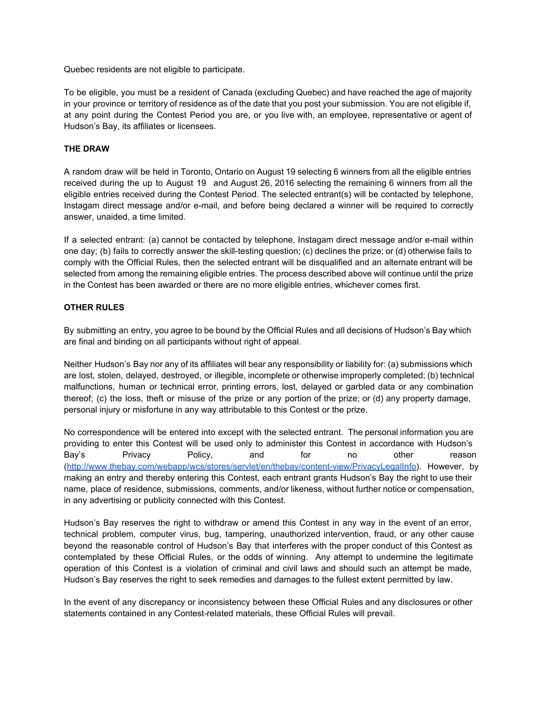Quebec residents are not eligible to participate.

To be eligible, you must be a resident of Canada (excluding Quebec) and have reached the age of majority in your province or territory of residence as of the date that you post your submission. You are not eligible if, at any point during the Contest Period you are, or you live with, an employee, representative or agent of Hudson's Bay, its affiliates or licensees.

# **THE DRAW**

A random draw will be held in Toronto, Ontario on August 19 selecting 6 winners from all the eligible entries received during the up to August 19 and August 26, 2016 selecting the remaining 6 winners from all the eligible entries received during the Contest Period. The selected entrant(s) will be contacted by telephone, Instagam direct message and/or e-mail, and before being declared a winner will be required to correctly answer, unaided, a time limited.

If a selected entrant: (a) cannot be contacted by telephone, Instagam direct message and/or e-mail within one day; (b) fails to correctly answer the skill-testing question; (c) declines the prize; or (d) otherwise fails to comply with the Official Rules, then the selected entrant will be disqualified and an alternate entrant will be selected from among the remaining eligible entries. The process described above will continue until the prize in the Contest has been awarded or there are no more eligible entries, whichever comes first.

# **OTHER RULES**

By submitting an entry, you agree to be bound by the Official Rules and all decisions of Hudson's Bay which are final and binding on all participants without right of appeal.

Neither Hudson's Bay nor any of its affiliates will bear any responsibility or liability for: (a) submissions which are lost, stolen, delayed, destroyed, or illegible, incomplete or otherwise improperly completed; (b) technical malfunctions, human or technical error, printing errors, lost, delayed or garbled data or any combination thereof; (c) the loss, theft or misuse of the prize or any portion of the prize; or (d) any property damage, personal injury or misfortune in any way attributable to this Contest or the prize.

No correspondence will be entered into except with the selected entrant. The personal information you are providing to enter this Contest will be used only to administer this Contest in accordance with Hudson's Bay's Privacy Policy, and for no other reason [\(http://www.thebay.com/webapp/wcs/stores/servlet/en/thebay/contentview/PrivacyLegalInfo\)](http://www.thebay.com/webapp/wcs/stores/servlet/en/thebay/content-view/PrivacyLegalInfo). However, by making an entry and thereby entering this Contest, each entrant grants Hudson's Bay the right to use their name, place of residence, submissions, comments, and/or likeness, without further notice or compensation, in any advertising or publicity connected with this Contest.

Hudson's Bay reserves the right to withdraw or amend this Contest in any way in the event of an error, technical problem, computer virus, bug, tampering, unauthorized intervention, fraud, or any other cause beyond the reasonable control of Hudson's Bay that interferes with the proper conduct of this Contest as contemplated by these Official Rules, or the odds of winning. Any attempt to undermine the legitimate operation of this Contest is a violation of criminal and civil laws and should such an attempt be made, Hudson's Bay reserves the right to seek remedies and damages to the fullest extent permitted by law.

In the event of any discrepancy or inconsistency between these Official Rules and any disclosures or other statements contained in any Contest-related materials, these Official Rules will prevail.